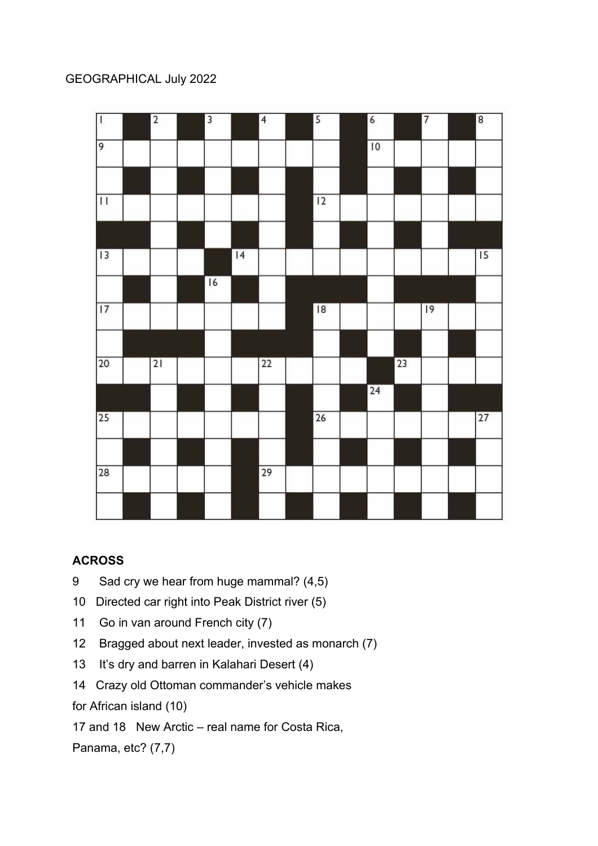## GEOGRAPHICAL July 2022



## **ACROSS**

- 9 Sad cry we hear from huge mammal? (4,5)
- 10 Directed car right into Peak District river (5)
- 11 Go in van around French city (7)
- 12 Bragged about next leader, invested as monarch (7)
- 13 It's dry and barren in Kalahari Desert (4)
- 14 Crazy old Ottoman commander's vehicle makes

for African island (10)

17 and 18 New Arctic – real name for Costa Rica,

Panama, etc? (7,7)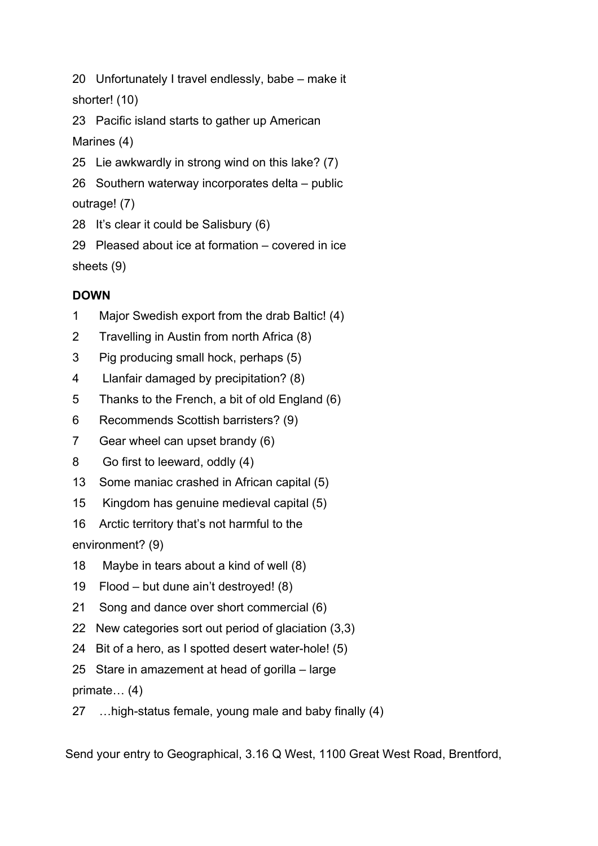20 Unfortunately I travel endlessly, babe – make it shorter! (10)

23 Pacific island starts to gather up American Marines (4)

25 Lie awkwardly in strong wind on this lake? (7)

26 Southern waterway incorporates delta – public outrage! (7)

28 It's clear it could be Salisbury (6)

29 Pleased about ice at formation – covered in ice sheets (9)

## **DOWN**

- 1 Major Swedish export from the drab Baltic! (4)
- 2 Travelling in Austin from north Africa (8)
- 3 Pig producing small hock, perhaps (5)
- 4 Llanfair damaged by precipitation? (8)
- 5 Thanks to the French, a bit of old England (6)
- 6 Recommends Scottish barristers? (9)
- 7 Gear wheel can upset brandy (6)
- 8 Go first to leeward, oddly (4)
- 13 Some maniac crashed in African capital (5)
- 15 Kingdom has genuine medieval capital (5)
- 16 Arctic territory that's not harmful to the

environment? (9)

- 18 Maybe in tears about a kind of well (8)
- 19 Flood but dune ain't destroyed! (8)
- 21 Song and dance over short commercial (6)
- 22 New categories sort out period of glaciation (3,3)
- 24 Bit of a hero, as I spotted desert water-hole! (5)
- 25 Stare in amazement at head of gorilla large

primate… (4)

27 …high-status female, young male and baby finally (4)

Send your entry to Geographical, 3.16 Q West, 1100 Great West Road, Brentford,